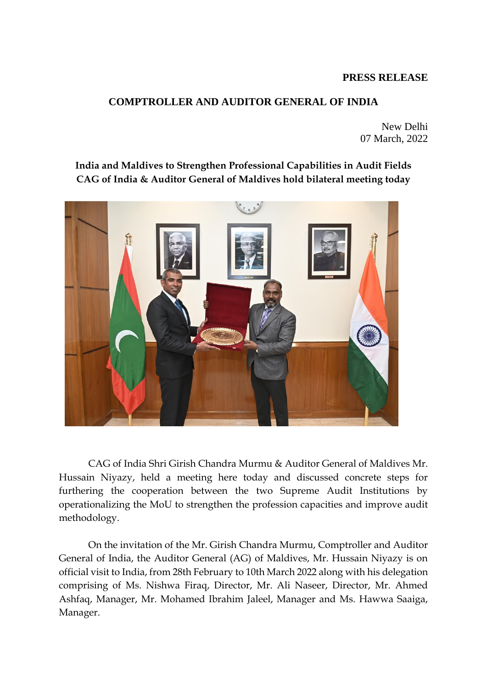## **PRESS RELEASE**

## **COMPTROLLER AND AUDITOR GENERAL OF INDIA**

New Delhi 07 March, 2022

## **India and Maldives to Strengthen Professional Capabilities in Audit Fields CAG of India & Auditor General of Maldives hold bilateral meeting today**



CAG of India Shri Girish Chandra Murmu & Auditor General of Maldives Mr. Hussain Niyazy, held a meeting here today and discussed concrete steps for furthering the cooperation between the two Supreme Audit Institutions by operationalizing the MoU to strengthen the profession capacities and improve audit methodology.

On the invitation of the Mr. Girish Chandra Murmu, Comptroller and Auditor General of India, the Auditor General (AG) of Maldives, Mr. Hussain Niyazy is on official visit to India, from 28th February to 10th March 2022 along with his delegation comprising of Ms. Nishwa Firaq, Director, Mr. Ali Naseer, Director, Mr. Ahmed Ashfaq, Manager, Mr. Mohamed Ibrahim Jaleel, Manager and Ms. Hawwa Saaiga, Manager.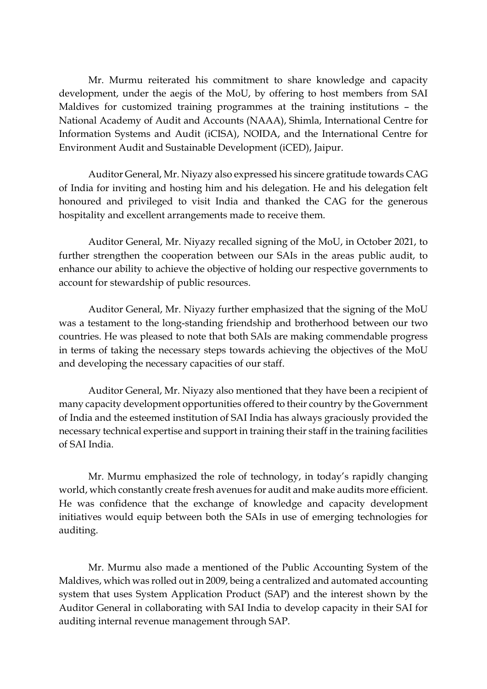Mr. Murmu reiterated his commitment to share knowledge and capacity development, under the aegis of the MoU, by offering to host members from SAI Maldives for customized training programmes at the training institutions – the National Academy of Audit and Accounts (NAAA), Shimla, International Centre for Information Systems and Audit (iCISA), NOIDA, and the International Centre for Environment Audit and Sustainable Development (iCED), Jaipur.

Auditor General, Mr. Niyazy also expressed his sincere gratitude towards CAG of India for inviting and hosting him and his delegation. He and his delegation felt honoured and privileged to visit India and thanked the CAG for the generous hospitality and excellent arrangements made to receive them.

Auditor General, Mr. Niyazy recalled signing of the MoU, in October 2021, to further strengthen the cooperation between our SAIs in the areas public audit, to enhance our ability to achieve the objective of holding our respective governments to account for stewardship of public resources.

Auditor General, Mr. Niyazy further emphasized that the signing of the MoU was a testament to the long-standing friendship and brotherhood between our two countries. He was pleased to note that both SAIs are making commendable progress in terms of taking the necessary steps towards achieving the objectives of the MoU and developing the necessary capacities of our staff.

Auditor General, Mr. Niyazy also mentioned that they have been a recipient of many capacity development opportunities offered to their country by the Government of India and the esteemed institution of SAI India has always graciously provided the necessary technical expertise and support in training their staff in the training facilities of SAI India.

Mr. Murmu emphasized the role of technology, in today's rapidly changing world, which constantly create fresh avenues for audit and make audits more efficient. He was confidence that the exchange of knowledge and capacity development initiatives would equip between both the SAIs in use of emerging technologies for auditing.

Mr. Murmu also made a mentioned of the Public Accounting System of the Maldives, which was rolled out in 2009, being a centralized and automated accounting system that uses System Application Product (SAP) and the interest shown by the Auditor General in collaborating with SAI India to develop capacity in their SAI for auditing internal revenue management through SAP.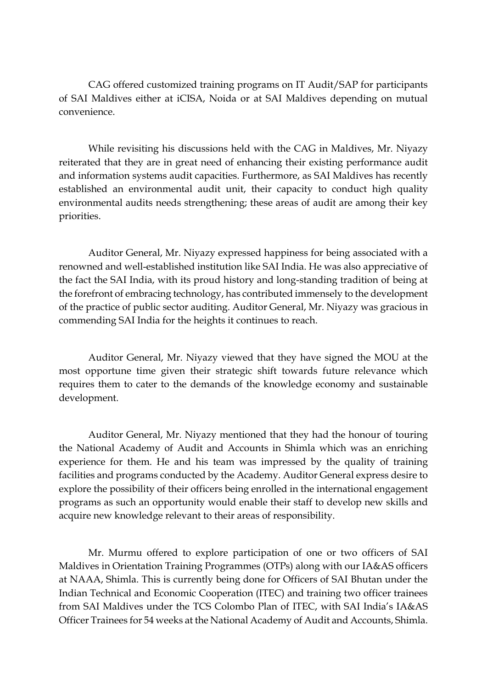CAG offered customized training programs on IT Audit/SAP for participants of SAI Maldives either at iCISA, Noida or at SAI Maldives depending on mutual convenience.

While revisiting his discussions held with the CAG in Maldives, Mr. Niyazy reiterated that they are in great need of enhancing their existing performance audit and information systems audit capacities. Furthermore, as SAI Maldives has recently established an environmental audit unit, their capacity to conduct high quality environmental audits needs strengthening; these areas of audit are among their key priorities.

Auditor General, Mr. Niyazy expressed happiness for being associated with a renowned and well-established institution like SAI India. He was also appreciative of the fact the SAI India, with its proud history and long-standing tradition of being at the forefront of embracing technology, has contributed immensely to the development of the practice of public sector auditing. Auditor General, Mr. Niyazy was gracious in commending SAI India for the heights it continues to reach.

Auditor General, Mr. Niyazy viewed that they have signed the MOU at the most opportune time given their strategic shift towards future relevance which requires them to cater to the demands of the knowledge economy and sustainable development.

Auditor General, Mr. Niyazy mentioned that they had the honour of touring the National Academy of Audit and Accounts in Shimla which was an enriching experience for them. He and his team was impressed by the quality of training facilities and programs conducted by the Academy. Auditor General express desire to explore the possibility of their officers being enrolled in the international engagement programs as such an opportunity would enable their staff to develop new skills and acquire new knowledge relevant to their areas of responsibility.

Mr. Murmu offered to explore participation of one or two officers of SAI Maldives in Orientation Training Programmes (OTPs) along with our IA&AS officers at NAAA, Shimla. This is currently being done for Officers of SAI Bhutan under the Indian Technical and Economic Cooperation (ITEC) and training two officer trainees from SAI Maldives under the TCS Colombo Plan of ITEC, with SAI India's IA&AS Officer Trainees for 54 weeks at the National Academy of Audit and Accounts, Shimla.